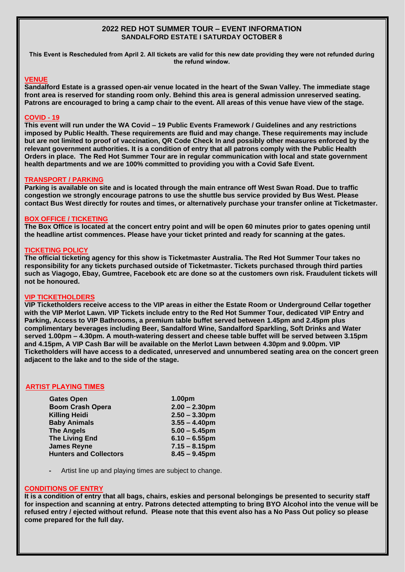# **2022 RED HOT SUMMER TOUR – EVENT INFORMATION SANDALFORD ESTATE I SATURDAY OCTOBER 8**

**This Event is Rescheduled from April 2. All tickets are valid for this new date providing they were not refunded during the refund window.** 

### **VENUE**

**Sandalford Estate is a grassed open-air venue located in the heart of the Swan Valley. The immediate stage front area is reserved for standing room only. Behind this area is general admission unreserved seating. Patrons are encouraged to bring a camp chair to the event. All areas of this venue have view of the stage.** 

# **COVID - 19**

**This event will run under the WA Covid – 19 Public Events Framework / Guidelines and any restrictions imposed by Public Health. These requirements are fluid and may change. These requirements may include but are not limited to proof of vaccination, QR Code Check In and possibly other measures enforced by the relevant government authorities. It is a condition of entry that all patrons comply with the Public Health Orders in place. The Red Hot Summer Tour are in regular communication with local and state government health departments and we are 100% committed to providing you with a Covid Safe Event.** 

### **TRANSPORT / PARKING**

**Parking is available on site and is located through the main entrance off West Swan Road. Due to traffic congestion we strongly encourage patrons to use the shuttle bus service provided by Bus West. Please contact Bus West directly for routes and times, or alternatively purchase your transfer online at Ticketmaster.** 

### **BOX OFFICE / TICKETING**

**The Box Office is located at the concert entry point and will be open 60 minutes prior to gates opening until the headline artist commences. Please have your ticket printed and ready for scanning at the gates.** 

# **TICKETING POLICY**

**The official ticketing agency for this show is Ticketmaster Australia. The Red Hot Summer Tour takes no responsibility for any tickets purchased outside of Ticketmaster. Tickets purchased through third parties such as Viagogo, Ebay, Gumtree, Facebook etc are done so at the customers own risk. Fraudulent tickets will not be honoured.** 

### **VIP TICKETHOLDERS**

**VIP Ticketholders receive access to the VIP areas in either the Estate Room or Underground Cellar together with the VIP Merlot Lawn. VIP Tickets include entry to the Red Hot Summer Tour, dedicated VIP Entry and Parking, Access to VIP Bathrooms, a premium table buffet served between 1.45pm and 2.45pm plus complimentary beverages including Beer, Sandalford Wine, Sandalford Sparkling, Soft Drinks and Water served 1.00pm – 4.30pm. A mouth-watering dessert and cheese table buffet will be served between 3.15pm and 4.15pm, A VIP Cash Bar will be available on the Merlot Lawn between 4.30pm and 9.00pm. VIP Ticketholders will have access to a dedicated, unreserved and unnumbered seating area on the concert green adjacent to the lake and to the side of the stage.** 

### **ARTIST PLAYING TIMES**

| <b>Gates Open</b>             | 1.00pm           |
|-------------------------------|------------------|
| <b>Boom Crash Opera</b>       | $2.00 - 2.30$ pm |
| <b>Killing Heidi</b>          | $2.50 - 3.30$ pm |
| <b>Baby Animals</b>           | $3.55 - 4.40$ pm |
| <b>The Angels</b>             | $5.00 - 5.45$ pm |
| <b>The Living End</b>         | $6.10 - 6.55$ pm |
| <b>James Reyne</b>            | $7.15 - 8.15$ pm |
| <b>Hunters and Collectors</b> | $8.45 - 9.45$ pm |
|                               |                  |

**-** Artist line up and playing times are subject to change.

### **CONDITIONS OF ENTRY**

**It is a condition of entry that all bags, chairs, eskies and personal belongings be presented to security staff for inspection and scanning at entry. Patrons detected attempting to bring BYO Alcohol into the venue will be refused entry / ejected without refund. Please note that this event also has a No Pass Out policy so please come prepared for the full day.**